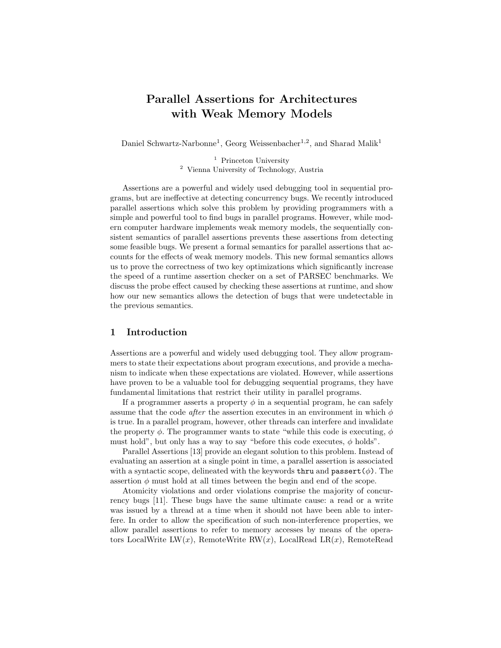# Parallel Assertions for Architectures with Weak Memory Models

Daniel Schwartz-Narbonne<sup>1</sup>, Georg Weissenbacher<sup>1,2</sup>, and Sharad Malik<sup>1</sup>

<sup>1</sup> Princeton University <sup>2</sup> Vienna University of Technology, Austria

Assertions are a powerful and widely used debugging tool in sequential programs, but are ineffective at detecting concurrency bugs. We recently introduced parallel assertions which solve this problem by providing programmers with a simple and powerful tool to find bugs in parallel programs. However, while modern computer hardware implements weak memory models, the sequentially consistent semantics of parallel assertions prevents these assertions from detecting some feasible bugs. We present a formal semantics for parallel assertions that accounts for the effects of weak memory models. This new formal semantics allows us to prove the correctness of two key optimizations which significantly increase the speed of a runtime assertion checker on a set of PARSEC benchmarks. We discuss the probe effect caused by checking these assertions at runtime, and show how our new semantics allows the detection of bugs that were undetectable in the previous semantics.

# 1 Introduction

Assertions are a powerful and widely used debugging tool. They allow programmers to state their expectations about program executions, and provide a mechanism to indicate when these expectations are violated. However, while assertions have proven to be a valuable tool for debugging sequential programs, they have fundamental limitations that restrict their utility in parallel programs.

If a programmer asserts a property  $\phi$  in a sequential program, he can safely assume that the code *after* the assertion executes in an environment in which  $\phi$ is true. In a parallel program, however, other threads can interfere and invalidate the property  $\phi$ . The programmer wants to state "while this code is executing,  $\phi$ must hold", but only has a way to say "before this code executes,  $\phi$  holds".

Parallel Assertions [13] provide an elegant solution to this problem. Instead of evaluating an assertion at a single point in time, a parallel assertion is associated with a syntactic scope, delineated with the keywords thru and passert $(\phi)$ . The assertion  $\phi$  must hold at all times between the begin and end of the scope.

Atomicity violations and order violations comprise the majority of concurrency bugs [11]. These bugs have the same ultimate cause: a read or a write was issued by a thread at a time when it should not have been able to interfere. In order to allow the specification of such non-interference properties, we allow parallel assertions to refer to memory accesses by means of the operators LocalWrite LW(x), RemoteWrite RW(x), LocalRead LR(x), RemoteRead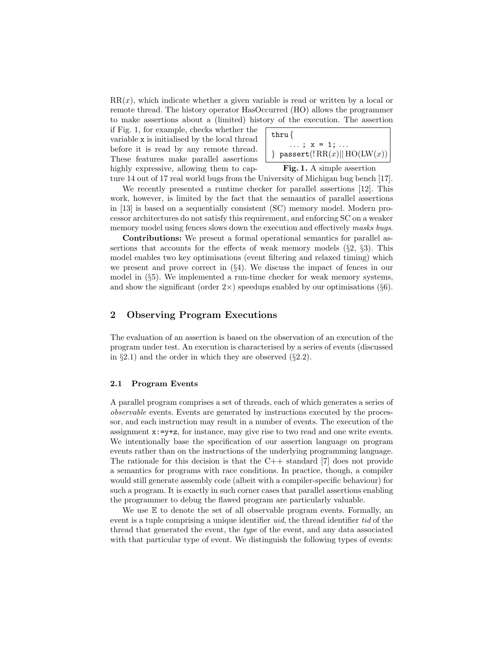$RR(x)$ , which indicate whether a given variable is read or written by a local or remote thread. The history operator HasOccurred (HO) allows the programmer to make assertions about a (limited) history of the execution. The assertion

if Fig. 1, for example, checks whether the variable x is initialised by the local thread before it is read by any remote thread. These features make parallel assertions highly expressive, allowing them to cap-

$$
\begin{array}{c}\n\text{thru} \{\\ \ldots; x = 1; \ldots\\ \text{ }\} \text{ passert}(!\, \text{RR}(x) || \, \text{HO(LW}(x))\n\end{array}
$$

Fig. 1. A simple assertion

ture 14 out of 17 real world bugs from the University of Michigan bug bench [17]. We recently presented a runtime checker for parallel assertions [12]. This work, however, is limited by the fact that the semantics of parallel assertions in [13] is based on a sequentially consistent (SC) memory model. Modern processor architectures do not satisfy this requirement, and enforcing SC on a weaker memory model using fences slows down the execution and effectively masks bugs.

Contributions: We present a formal operational semantics for parallel assertions that accounts for the effects of weak memory models  $(\S2, \S3)$ . This model enables two key optimisations (event filtering and relaxed timing) which we present and prove correct in  $(\S4)$ . We discuss the impact of fences in our model in (§5). We implemented a run-time checker for weak memory systems, and show the significant (order  $2\times$ ) speedups enabled by our optimisations (§6).

# 2 Observing Program Executions

The evaluation of an assertion is based on the observation of an execution of the program under test. An execution is characterised by a series of events (discussed in  $\S 2.1$ ) and the order in which they are observed  $(\S 2.2)$ .

#### 2.1 Program Events

A parallel program comprises a set of threads, each of which generates a series of observable events. Events are generated by instructions executed by the processor, and each instruction may result in a number of events. The execution of the assignment  $x:-y+z$ , for instance, may give rise to two read and one write events. We intentionally base the specification of our assertion language on program events rather than on the instructions of the underlying programming language. The rationale for this decision is that the  $C++$  standard [7] does not provide a semantics for programs with race conditions. In practice, though, a compiler would still generate assembly code (albeit with a compiler-specific behaviour) for such a program. It is exactly in such corner cases that parallel assertions enabling the programmer to debug the flawed program are particularly valuable.

We use  $E$  to denote the set of all observable program events. Formally, an event is a tuple comprising a unique identifier *uid*, the thread identifier *tid* of the thread that generated the event, the type of the event, and any data associated with that particular type of event. We distinguish the following types of events: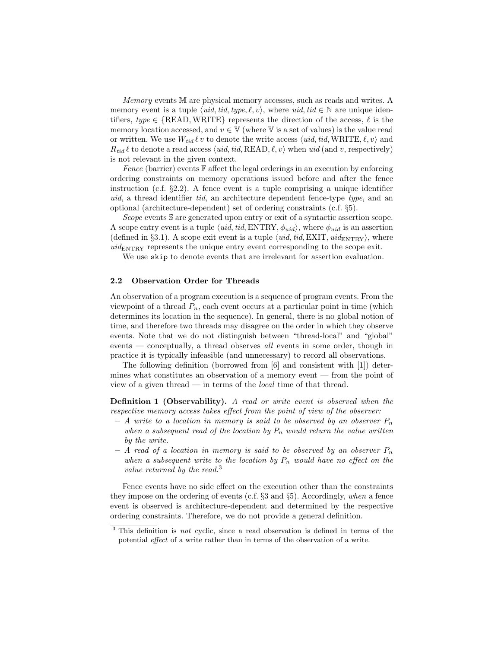Memory events M are physical memory accesses, such as reads and writes. A memory event is a tuple  $\langle uid, tid, type, \ell, v \rangle$ , where  $uid, tid \in \mathbb{N}$  are unique identifiers,  $type \in \{READ, WRITE\}$  represents the direction of the access,  $\ell$  is the memory location accessed, and  $v \in V$  (where V is a set of values) is the value read or written. We use  $W_{tid} \ell v$  to denote the write access  $\langle uid, tid, WRITE, \ell, v \rangle$  and  $R_{tid} \ell$  to denote a read access (*uid, tid, READ,*  $\ell$ *, v*) when uid (and *v*, respectively) is not relevant in the given context.

Fence (barrier) events  $\mathbb F$  affect the legal orderings in an execution by enforcing ordering constraints on memory operations issued before and after the fence instruction (c.f. §2.2). A fence event is a tuple comprising a unique identifier uid, a thread identifier tid, an architecture dependent fence-type type, and an optional (architecture-dependent) set of ordering constraints (c.f. §5).

Scope events S are generated upon entry or exit of a syntactic assertion scope. A scope entry event is a tuple  $\langle uid, tid, ENTRY, \phi_{uid} \rangle$ , where  $\phi_{uid}$  is an assertion (defined in §3.1). A scope exit event is a tuple  $\langle uid, tid, EXIT, uid_{ENTRY}\rangle$ , where  $uid_{ENTRY}$  represents the unique entry event corresponding to the scope exit.

We use skip to denote events that are irrelevant for assertion evaluation.

#### 2.2 Observation Order for Threads

An observation of a program execution is a sequence of program events. From the viewpoint of a thread  $P_n$ , each event occurs at a particular point in time (which determines its location in the sequence). In general, there is no global notion of time, and therefore two threads may disagree on the order in which they observe events. Note that we do not distinguish between "thread-local" and "global" events — conceptually, a thread observes all events in some order, though in practice it is typically infeasible (and unnecessary) to record all observations.

The following definition (borrowed from [6] and consistent with [1]) determines what constitutes an observation of a memory event — from the point of view of a given thread — in terms of the *local* time of that thread.

Definition 1 (Observability). A read or write event is observed when the respective memory access takes effect from the point of view of the observer:

- A write to a location in memory is said to be observed by an observer  $P_n$ when a subsequent read of the location by  $P_n$  would return the value written by the write.
- A read of a location in memory is said to be observed by an observer  $P_n$ when a subsequent write to the location by  $P_n$  would have no effect on the value returned by the read.<sup>3</sup>

Fence events have no side effect on the execution other than the constraints they impose on the ordering of events (c.f.  $\S 3$  and  $\S 5$ ). Accordingly, when a fence event is observed is architecture-dependent and determined by the respective ordering constraints. Therefore, we do not provide a general definition.

<sup>&</sup>lt;sup>3</sup> This definition is *not* cyclic, since a read observation is defined in terms of the potential effect of a write rather than in terms of the observation of a write.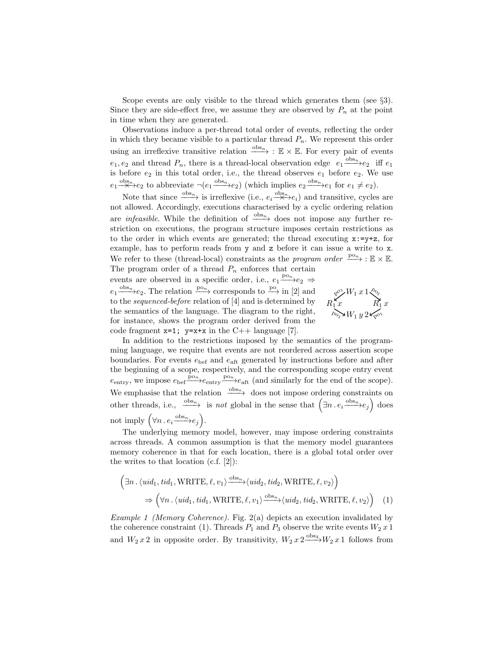Scope events are only visible to the thread which generates them (see §3). Since they are side-effect free, we assume they are observed by  $P_n$  at the point in time when they are generated.

Observations induce a per-thread total order of events, reflecting the order in which they became visible to a particular thread  $P_n$ . We represent this order using an irreflexive transitive relation  $\frac{\partial \text{d}s_n}{\partial x}$  : E × E. For every pair of events  $e_1, e_2$  and thread  $P_n$ , there is a thread-local observation edge  $e_1 \stackrel{\text{obs}_n}{\longrightarrow} e_2$  iff  $e_1$ is before  $e_2$  in this total order, i.e., the thread observes  $e_1$  before  $e_2$ . We use  $e_1 \xrightarrow{\text{obs}_n} e_2$  to abbreviate  $\neg(e_1 \xrightarrow{\text{obs}_n} e_2)$  (which implies  $e_2 \xrightarrow{\text{obs}_n} e_1$  for  $e_1 \neq e_2$ ).

Note that since  $\frac{\text{obs}_n}{\text{S}}$  is irreflexive (i.e.,  $e_i \frac{\text{obs}_n}{\text{S}} e_i$ ) and transitive, cycles are not allowed. Accordingly, executions characterised by a cyclic ordering relation are *infeasible*. While the definition of  $\frac{\partial \text{b} s_n}{\partial x}$  does not impose any further restriction on executions, the program structure imposes certain restrictions as to the order in which events are generated; the thread executing  $x:=y+z$ , for example, has to perform reads from y and z before it can issue a write to x. We refer to these (thread-local) constraints as the *program order*  $\frac{\text{po}_{n}}{\text{ce}}$  : E × E.  $\sqrt{\phi}$  W<sub>1</sub> x 1 $\sqrt{\phi}$  $R_1 x$   $R_1 x$  $p_{\text{o}_i}$   $W_1 y 2$   $\leq_{\text{p}} \text{o}_1$ The program order of a thread  $P_n$  enforces that certain events are observed in a specific order, i.e.,  $e_1 \xrightarrow{p o_n} e_2 \Rightarrow$  $e_1 \xrightarrow{\text{obs}_n} e_2$ . The relation  $\xrightarrow{\text{po}_n}$  corresponds to  $\xrightarrow{\text{po}}$  in [2] and to the *sequenced-before* relation of [4] and is determined by the semantics of the language. The diagram to the right, for instance, shows the program order derived from the code fragment  $x=1$ ;  $y=x+x$  in the C++ language [7].

In addition to the restrictions imposed by the semantics of the programming language, we require that events are not reordered across assertion scope boundaries. For events  $e_{\text{bef}}$  and  $e_{\text{aff}}$  generated by instructions before and after the beginning of a scope, respectively, and the corresponding scope entry event  $e_{\text{entry}}$ , we impose  $e_{\text{bef}} \xrightarrow{\text{p}_{o_n}} e_{\text{entry}} \xrightarrow{\text{p}_{o_n}} e_{\text{aff}}$  (and similarly for the end of the scope). We emphasise that the relation  $\frac{\text{obs}_n}{\text{obs}_n}$  does not impose ordering constraints on other threads, i.e.,  $\frac{\partial \text{bs}_n}{\partial t}$  is *not* global in the sense that  $(\exists n \ldotp e_i \frac{\partial \text{bs}_n}{\partial t} e_j)$  does not imply  $(\forall n \ldotp e_i \xrightarrow{\text{obs}_n} e_j).$ 

The underlying memory model, however, may impose ordering constraints across threads. A common assumption is that the memory model guarantees memory coherence in that for each location, there is a global total order over the writes to that location (c.f. [2]):

$$
\left(\exists n. \langle \text{uid}_1, \text{tid}_1, \text{WRITE}, \ell, v_1 \rangle \xrightarrow{\text{obs}_n} \langle \text{uid}_2, \text{tid}_2, \text{WRITE}, \ell, v_2 \rangle \right) \n\Rightarrow \left( \forall n. \langle \text{uid}_1, \text{tid}_1, \text{WRITE}, \ell, v_1 \rangle \xrightarrow{\text{obs}_n} \langle \text{uid}_2, \text{tid}_2, \text{WRITE}, \ell, v_2 \rangle \right) \tag{1}
$$

Example 1 (Memory Coherence). Fig. 2(a) depicts an execution invalidated by the coherence constraint (1). Threads  $P_1$  and  $P_3$  observe the write events  $W_2 x 1$ and  $W_2 x 2$  in opposite order. By transitivity,  $W_2 x 2 \xrightarrow{\text{obs}_3} W_2 x 1$  follows from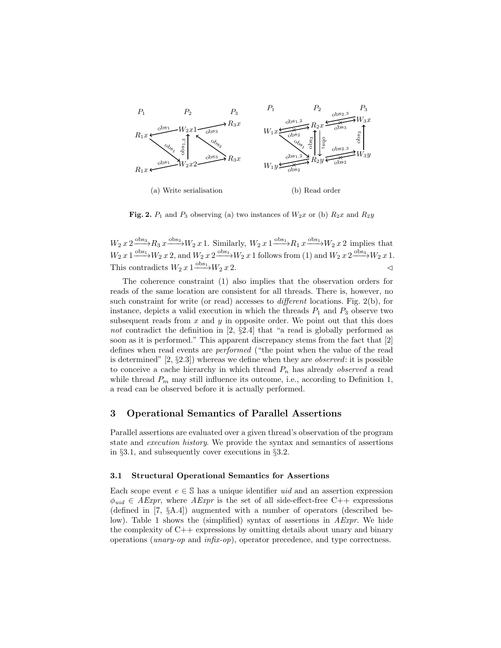

Fig. 2.  $P_1$  and  $P_3$  observing (a) two instances of  $W_2x$  or (b)  $R_2x$  and  $R_2y$ 

 $W_2 x 2 \frac{\text{obs}_3}{R_3 x} \frac{\text{obs}_3}{W_2 x 1}$ . Similarly,  $W_2 x 1 \frac{\text{obs}_1}{W_1 x} \frac{\text{obs}_1}{W_2 x 2}$  implies that  $W_2 x 1 \xrightarrow{\text{obs}_1} W_2 x 2$ , and  $W_2 x 2 \xrightarrow{\text{obs}_1} W_2 x 1$  follows from (1) and  $W_2 x 2 \xrightarrow{\text{obs}_3} W_2 x 1$ . This contradicts  $W_2 x 1 \xrightarrow{\text{obs}_1} W_2 x 2$ .

The coherence constraint (1) also implies that the observation orders for reads of the same location are consistent for all threads. There is, however, no such constraint for write (or read) accesses to different locations. Fig. 2(b), for instance, depicts a valid execution in which the threads  $P_1$  and  $P_3$  observe two subsequent reads from  $x$  and  $y$  in opposite order. We point out that this does not contradict the definition in [2,  $\S 2.4$ ] that "a read is globally performed as soon as it is performed." This apparent discrepancy stems from the fact that [2] defines when read events are performed ("the point when the value of the read is determined"  $[2, \S 2.3]$ ) whereas we define when they are *observed*: it is possible to conceive a cache hierarchy in which thread  $P_n$  has already *observed* a read while thread  $P_m$  may still influence its outcome, i.e., according to Definition 1, a read can be observed before it is actually performed.

# 3 Operational Semantics of Parallel Assertions

Parallel assertions are evaluated over a given thread's observation of the program state and execution history. We provide the syntax and semantics of assertions in §3.1, and subsequently cover executions in §3.2.

#### 3.1 Structural Operational Semantics for Assertions

Each scope event  $e \in \mathbb{S}$  has a unique identifier *uid* and an assertion expression  $\phi_{uid} \in AExpr$ , where  $AExpr$  is the set of all side-effect-free C++ expressions (defined in [7, §A.4]) augmented with a number of operators (described below). Table 1 shows the (simplified) syntax of assertions in  $AExpr$ . We hide the complexity of  $C++$  expressions by omitting details about unary and binary operations (unary-op and infix-op), operator precedence, and type correctness.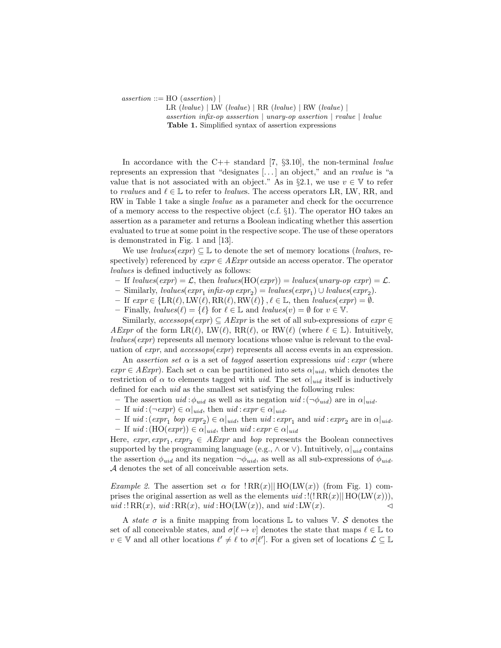$assertion ::= HO (assertion) |$ 

LR  $(lvalue) | LW (lvalue) | RR (lvalue) | RW (lvalue) |$ assertion infix-op asssertion | unary-op assertion | rvalue | lvalue Table 1. Simplified syntax of assertion expressions

In accordance with the C++ standard [7,  $\S3.10$ ], the non-terminal *lvalue* represents an expression that "designates  $[\dots]$  an object," and an *rvalue* is "a value that is not associated with an object." As in §2.1, we use  $v \in V$  to refer to rvalues and  $\ell \in \mathbb{L}$  to refer to lvalues. The access operators LR, LW, RR, and RW in Table 1 take a single lvalue as a parameter and check for the occurrence of a memory access to the respective object (c.f.  $\S1$ ). The operator HO takes an assertion as a parameter and returns a Boolean indicating whether this assertion evaluated to true at some point in the respective scope. The use of these operators is demonstrated in Fig. 1 and [13].

We use *lvalues*( $expr$ )  $\subseteq \mathbb{L}$  to denote the set of memory locations (*lvalues*, respectively) referenced by  $expr \in AExpr$  outside an access operator. The operator lvalues is defined inductively as follows:

- If lvalues( $expr$ ) =  $\mathcal{L}$ , then lvalues(HO( $expr$ )) = lvalues(unary-op  $expr$ ) =  $\mathcal{L}$ .
- Similarly,  $\text{values}(\text{expr}_1 \text{ infix-op} \text{ expr}_2) = \text{values}(\text{expr}_1) \cup \text{values}(\text{expr}_2).$
- If  $expr \in \{LR(\ell), LW(\ell), RR(\ell), RW(\ell)\}, \ell \in \mathbb{L}, \text{ then } values(exp) = \emptyset.$
- Finally,  $\text{values}(\ell) = \{\ell\}$  for  $\ell \in \mathbb{L}$  and  $\text{values}(v) = \emptyset$  for  $v \in \mathbb{V}$ .

Similarly,  $accessops(exp) \subseteq AExpr$  is the set of all sub-expressions of  $expr \in$ AExpr of the form  $LR(\ell), LW(\ell), RR(\ell),$  or  $RW(\ell)$  (where  $\ell \in \mathbb{L}$ ). Intuitively,  $lvalues(exp)$  represents all memory locations whose value is relevant to the evaluation of expr, and accessops(expr) represents all access events in an expression.

An assertion set  $\alpha$  is a set of tagged assertion expressions uid: expr (where  $expr \in AExpr$ . Each set  $\alpha$  can be partitioned into sets  $\alpha|_{uid}$ , which denotes the restriction of  $\alpha$  to elements tagged with *uid*. The set  $\alpha|_{uid}$  itself is inductively defined for each uid as the smallest set satisfying the following rules:

- The assertion  $uid: \phi_{uid}$  as well as its negation  $uid: (\neg \phi_{uid})$  are in  $\alpha|_{uid}$ .
- If  $uid:(\neg expr) \in \alpha|_{uid}$ , then  $uid:expr \in \alpha|_{uid}$ .
- If  $uid:(expr_1 \; hop \; expr_2) \in \alpha|_{uid}$ , then  $uid:expr_1$  and  $uid:expr_2$  are in  $\alpha|_{uid}$ .
- If  $uid:(HO(expr)) \in \alpha|_{uid}$ , then  $uid:expr \in \alpha|_{uid}$

Here,  $expr, expr_1, expr_2 \in AExpr$  and bop represents the Boolean connectives supported by the programming language (e.g.,  $\wedge$  or  $\vee$ ). Intuitively,  $\alpha|_{uid}$  contains the assertion  $\phi_{uid}$  and its negation  $\neg \phi_{uid}$ , as well as all sub-expressions of  $\phi_{uid}$ . A denotes the set of all conceivable assertion sets.

Example 2. The assertion set  $\alpha$  for  $\text{RR}(x)$ || $\text{HO(LW}(x))$  (from Fig. 1) comprises the original assertion as well as the elements  $uid:!(!RR(x)||HO(LW(x))),$  $uid: \text{RR}(x), \text{uid}: \text{RR}(x), \text{uid}: \text{HO}(\text{LW}(x)), \text{ and } \text{uid}: \text{LW}(x).$ 

A state  $\sigma$  is a finite mapping from locations L to values V. S denotes the set of all conceivable states, and  $\sigma[\ell \mapsto v]$  denotes the state that maps  $\ell \in \mathbb{L}$  to  $v \in \mathbb{V}$  and all other locations  $\ell' \neq \ell$  to  $\sigma[\ell']$ . For a given set of locations  $\mathcal{L} \subseteq \mathbb{L}$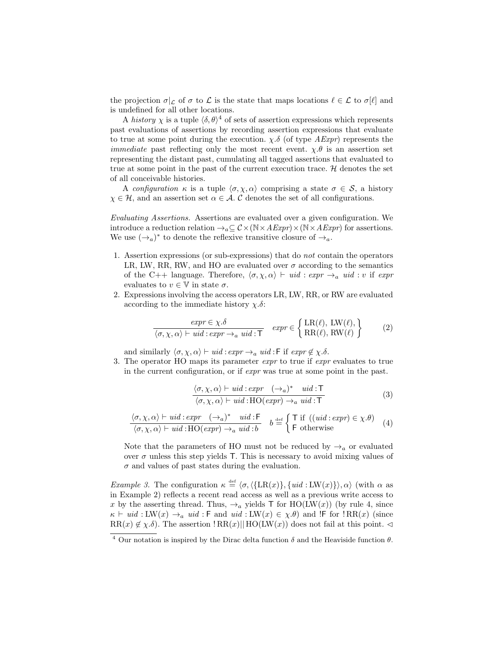the projection  $\sigma|_{\mathcal{L}}$  of  $\sigma$  to  $\mathcal{L}$  is the state that maps locations  $\ell \in \mathcal{L}$  to  $\sigma[\ell]$  and is undefined for all other locations.

A history  $\chi$  is a tuple  $\langle \delta, \theta \rangle^4$  of sets of assertion expressions which represents past evaluations of assertions by recording assertion expressions that evaluate to true at some point during the execution.  $\chi.\delta$  (of type  $AExpr$ ) represents the *immediate* past reflecting only the most recent event.  $\chi.\theta$  is an assertion set representing the distant past, cumulating all tagged assertions that evaluated to true at some point in the past of the current execution trace.  $\mathcal{H}$  denotes the set of all conceivable histories.

A configuration  $\kappa$  is a tuple  $\langle \sigma, \chi, \alpha \rangle$  comprising a state  $\sigma \in \mathcal{S}$ , a history  $\chi \in \mathcal{H}$ , and an assertion set  $\alpha \in \mathcal{A}$ . C denotes the set of all configurations.

Evaluating Assertions. Assertions are evaluated over a given configuration. We introduce a reduction relation  $\rightarrow_a \subseteq \mathcal{C} \times (\mathbb{N} \times A \mathit{Expr}) \times (\mathbb{N} \times A \mathit{Expr})$  for assertions. We use  $(\rightarrow_a)^*$  to denote the reflexive transitive closure of  $\rightarrow_a$ .

- 1. Assertion expressions (or sub-expressions) that do not contain the operators LR, LW, RR, RW, and HO are evaluated over  $\sigma$  according to the semantics of the C++ language. Therefore,  $\langle \sigma, \chi, \alpha \rangle \vdash \textit{uid} : \textit{expr} \rightarrow_a \textit{uid} : v$  if  $\textit{expr}$ evaluates to  $v \in \mathbb{V}$  in state  $\sigma$ .
- 2. Expressions involving the access operators LR, LW, RR, or RW are evaluated according to the immediate history  $\chi.\delta$ :

$$
\frac{\exp r \in \chi.\delta}{\langle \sigma, \chi, \alpha \rangle \vdash \mathit{uid} : \exp r \to_a \mathit{uid} : \mathsf{T}} \quad \mathit{expr} \in \left\{ \begin{array}{l} \text{LR}(\ell), \ \text{LW}(\ell), \\ \text{RR}(\ell), \ \text{RW}(\ell) \end{array} \right\} \tag{2}
$$

and similarly  $\langle \sigma, \chi, \alpha \rangle \vdash \textit{uid} : \textit{expr} \rightarrow_a \textit{uid} : \textsf{F} \textit{if} \textit{expr} \notin \chi \ldotp \delta.$ 

3. The operator HO maps its parameter expr to true if expr evaluates to true in the current configuration, or if expr was true at some point in the past.

$$
\frac{\langle \sigma, \chi, \alpha \rangle \vdash \textit{uid} : \textit{expr} \quad (\rightarrow_a)^* \quad \textit{uid} : \mathsf{T}}{\langle \sigma, \chi, \alpha \rangle \vdash \textit{uid} : \mathsf{HO}(\textit{expr}) \rightarrow_a \textit{uid} : \mathsf{T}}
$$
\n(3)

$$
\frac{\langle \sigma, \chi, \alpha \rangle \vdash uid : expr \quad (\rightarrow_a)^* \quad uid : F}{\langle \sigma, \chi, \alpha \rangle \vdash uid : HO(exp) \rightarrow_a uid : b} \quad b \stackrel{\text{def}}{=} \begin{cases} \top \text{ if } ((uid : expr) \in \chi. \theta) \\ \top \text{ otherwise} \end{cases} \tag{4}
$$

Note that the parameters of HO must not be reduced by  $\rightarrow_a$  or evaluated over  $\sigma$  unless this step yields T. This is necessary to avoid mixing values of  $\sigma$  and values of past states during the evaluation.

*Example 3.* The configuration  $\kappa \stackrel{\text{def}}{=} \langle \sigma, \langle \{LR(x)\}, \{uid : LW(x)\} \rangle, \alpha \rangle$  (with  $\alpha$  as in Example 2) reflects a recent read access as well as a previous write access to x by the asserting thread. Thus,  $\rightarrow_a$  yields T for HO(LW(x)) (by rule 4, since  $\kappa \vdash \textit{uid} : LW(x) \rightarrow_a \textit{uid} : \textsf{F} \text{ and } \textit{uid} : LW(x) \in \chi \theta)$  and !F for ! RR(x) (since  $RR(x) \notin \chi \delta$ . The assertion  $RR(x)||HO(LW(x))$  does not fail at this point.  $\triangleleft$ 

<sup>&</sup>lt;sup>4</sup> Our notation is inspired by the Dirac delta function  $\delta$  and the Heaviside function  $\theta$ .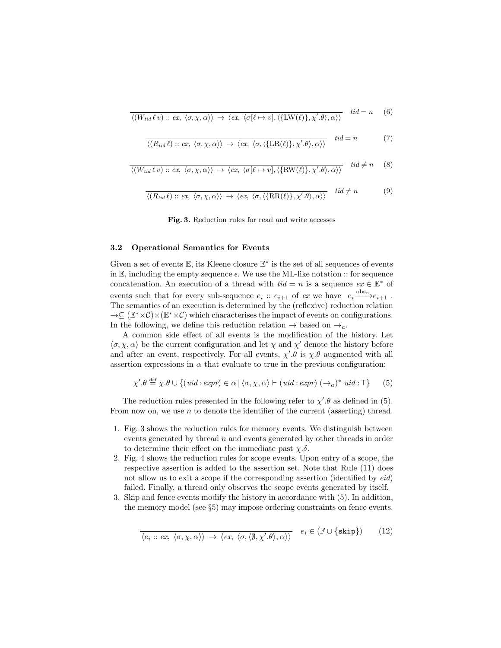$$
\overline{\langle (W_{tid}\ell v) :: ex, \langle \sigma, \chi, \alpha \rangle \rangle \to \langle ex, \langle \sigma[\ell \mapsto v], \langle \{LW(\ell)\}, \chi'.\theta \rangle, \alpha \rangle \rangle} \quad tid = n \quad (6)
$$

$$
\overline{\langle (R_{tid}\ell) :: ex, \langle \sigma, \chi, \alpha \rangle \rangle \to \langle ex, \langle \sigma, \langle \{LR(\ell)\}, \chi', \theta \rangle, \alpha \rangle \rangle} \quad tid = n \tag{7}
$$

$$
\overline{\langle (W_{tid}\ell v) :: ex, \langle \sigma, \chi, \alpha \rangle \rangle \to \langle ex, \langle \sigma[\ell \mapsto v], \langle \{\text{RW}(\ell)\}, \chi'.\theta \rangle, \alpha \rangle \rangle} \quad \text{tid} \neq n \quad (8)
$$

$$
\overline{\langle (R_{tid}\ell) :: ex, \langle \sigma, \chi, \alpha \rangle \rangle \to \langle ex, \langle \sigma, \langle \{RR(\ell)\}, \chi', \theta \rangle, \alpha \rangle \rangle} \quad tid \neq n
$$
 (9)

Fig. 3. Reduction rules for read and write accesses

#### 3.2 Operational Semantics for Events

Given a set of events  $\mathbb{E}$ , its Kleene closure  $\mathbb{E}^*$  is the set of all sequences of events in  $\mathbb{E}$ , including the empty sequence  $\epsilon$ . We use the ML-like notation :: for sequence concatenation. An execution of a thread with  $tid = n$  is a sequence  $ex \in \mathbb{E}^*$  of events such that for every sub-sequence  $e_i$ :  $e_{i+1}$  of  $ex$  we have  $e_i \frac{\text{obs}_n}{e_{i+1}}$ . The semantics of an execution is determined by the (reflexive) reduction relation  $\rightarrow \subseteq (\mathbb{E}^* \times C) \times (\mathbb{E}^* \times C)$  which characterises the impact of events on configurations. In the following, we define this reduction relation  $\rightarrow$  based on  $\rightarrow$ <sub>a</sub>.

A common side effect of all events is the modification of the history. Let  $\langle \sigma, \chi, \alpha \rangle$  be the current configuration and let  $\chi$  and  $\chi'$  denote the history before and after an event, respectively. For all events,  $\chi' \cdot \theta$  is  $\chi \cdot \theta$  augmented with all assertion expressions in  $\alpha$  that evaluate to true in the previous configuration:

$$
\chi'.\theta \stackrel{\text{def}}{=} \chi.\theta \cup \{ (uid : expr) \in \alpha \mid \langle \sigma, \chi, \alpha \rangle \vdash (uid : expr) \; (\rightarrow_a)^* \;uid : \mathsf{T} \} \tag{5}
$$

The reduction rules presented in the following refer to  $\chi'$ .  $\theta$  as defined in (5). From now on, we use  $n$  to denote the identifier of the current (asserting) thread.

- 1. Fig. 3 shows the reduction rules for memory events. We distinguish between events generated by thread n and events generated by other threads in order to determine their effect on the immediate past  $\chi.\delta$ .
- 2. Fig. 4 shows the reduction rules for scope events. Upon entry of a scope, the respective assertion is added to the assertion set. Note that Rule (11) does not allow us to exit a scope if the corresponding assertion (identified by  $eid$ ) failed. Finally, a thread only observes the scope events generated by itself.
- 3. Skip and fence events modify the history in accordance with (5). In addition, the memory model (see §5) may impose ordering constraints on fence events.

$$
\langle e_i :: ex, \langle \sigma, \chi, \alpha \rangle \rangle \to \langle ex, \langle \sigma, \langle \emptyset, \chi', \theta \rangle, \alpha \rangle \rangle \quad e_i \in (\mathbb{F} \cup \{ \text{skip} \}) \tag{12}
$$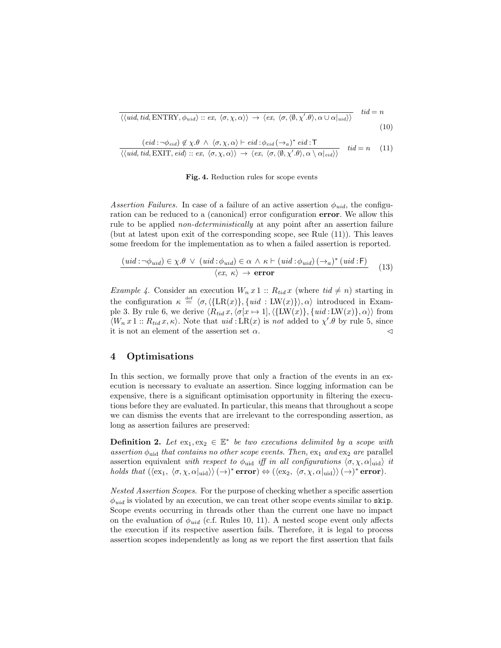$$
\overline{\langle \langle \text{uid}, \text{tid}, \text{ENTRY}, \phi_{\text{uid}} \rangle : \text{ex}, \langle \sigma, \chi, \alpha \rangle \rangle \rightarrow \langle \text{ex}, \langle \sigma, \langle \emptyset, \chi', \theta \rangle, \alpha \cup \alpha |_{\text{uid}} \rangle \rangle} \quad \text{tid} = n
$$
\n
$$
(10)
$$

$$
\frac{(eid: \neg \phi_{eid}) \notin \chi.\theta \land \langle \sigma, \chi, \alpha \rangle \vdash eid : \phi_{eid} (\rightarrow a)^* \text{ } eid : \mathsf{T}}{\langle \langle \text{ }uid, \text{ } tid, \text{ EXIT}, \text{ } eid \rangle \colon : ex, \langle \sigma, \chi, \alpha \rangle \rangle \rightarrow \langle ex, \langle \sigma, \langle \emptyset, \chi'.\theta \rangle, \alpha \setminus \alpha |_{eid} \rangle \rangle} \quad \text{ } tid = n \quad (11)
$$

#### Fig. 4. Reduction rules for scope events

Assertion Failures. In case of a failure of an active assertion  $\phi_{uid}$ , the configuration can be reduced to a (canonical) error configuration error. We allow this rule to be applied non-deterministically at any point after an assertion failure (but at latest upon exit of the corresponding scope, see Rule (11)). This leaves some freedom for the implementation as to when a failed assertion is reported.

$$
\frac{(uid: \neg \phi_{uid}) \in \chi.\theta \lor (uid: \phi_{uid}) \in \alpha \land \kappa \vdash (uid: \phi_{uid}) \left(\rightarrow_a\right)^* (uid: \mathsf{F})}{\langle ex, \kappa \rangle \rightarrow \text{error}} \tag{13}
$$

*Example 4.* Consider an execution  $W_n x 1 :: R_{tid} x$  (where  $tid \neq n$ ) starting in the configuration  $\kappa \stackrel{\text{def}}{=} \langle \sigma, \langle \{LR(x)\}, \{uid : LW(x)\}\rangle, \alpha \rangle$  introduced in Example 3. By rule 6, we derive  $\langle R_{tid} x, \langle \sigma[x \mapsto 1], \langle \{LW(x)\}, \{uid : LW(x)\}, \alpha \rangle \rangle$  from  $\langle W_n x 1 : R_{tid} x, \kappa \rangle$ . Note that  $uid:LR(x)$  is not added to  $\chi' \theta$  by rule 5, since it is not an element of the assertion set  $\alpha$ .

### 4 Optimisations

In this section, we formally prove that only a fraction of the events in an execution is necessary to evaluate an assertion. Since logging information can be expensive, there is a significant optimisation opportunity in filtering the executions before they are evaluated. In particular, this means that throughout a scope we can dismiss the events that are irrelevant to the corresponding assertion, as long as assertion failures are preserved:

**Definition 2.** Let  $ex_1, ex_2 \in \mathbb{E}^*$  be two executions delimited by a scope with assertion  $\phi_{\text{uid}}$  that contains no other scope events. Then,  $\exp$  and  $\exp$  are parallel assertion equivalent with respect to  $\phi_{\text{uid}}$  iff in all configurations  $\langle \sigma, \chi, \alpha |_{\text{uid}} \rangle$  it holds that  $(\langle ex_1, \langle \sigma, \chi, \alpha |_{\text{uid}} \rangle \rangle (\rightarrow)^* \text{error}) \Leftrightarrow (\langle ex_2, \langle \sigma, \chi, \alpha |_{\text{uid}} \rangle \rangle (\rightarrow)^* \text{error}).$ 

Nested Assertion Scopes. For the purpose of checking whether a specific assertion  $\phi_{uid}$  is violated by an execution, we can treat other scope events similar to skip. Scope events occurring in threads other than the current one have no impact on the evaluation of  $\phi_{uid}$  (c.f. Rules 10, 11). A nested scope event only affects the execution if its respective assertion fails. Therefore, it is legal to process assertion scopes independently as long as we report the first assertion that fails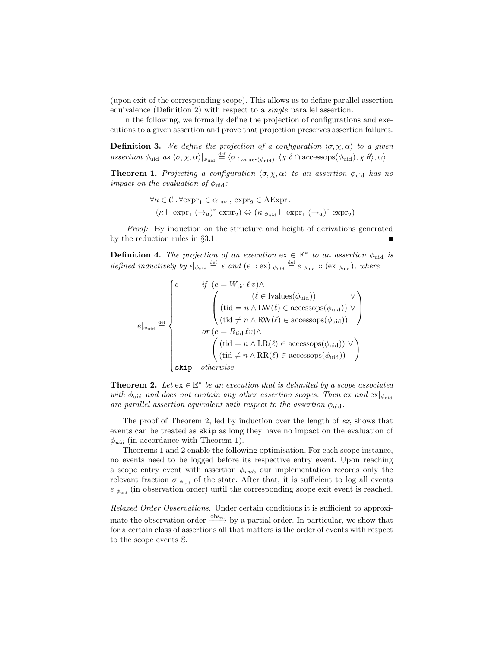(upon exit of the corresponding scope). This allows us to define parallel assertion equivalence (Definition 2) with respect to a single parallel assertion.

In the following, we formally define the projection of configurations and executions to a given assertion and prove that projection preserves assertion failures.

**Definition 3.** We define the projection of a configuration  $\langle \sigma, \chi, \alpha \rangle$  to a given assertion  $\phi_{\text{uid}}$  as  $\langle \sigma, \chi, \alpha \rangle|_{\phi_{\text{uid}}} \stackrel{\text{def}}{=} \langle \sigma |_{\text{lvalues}(\phi_{\text{uid}})}, \langle \chi \delta \cap \text{accessops}(\phi_{\text{uid}}), \chi \theta \rangle, \alpha \rangle.$ 

**Theorem 1.** Projecting a configuration  $\langle \sigma, \chi, \alpha \rangle$  to an assertion  $\phi_{\text{uid}}$  has no impact on the evaluation of  $\phi_{\text{uid}}$ :

> $\forall \kappa \in C$ .  $\forall \text{expr}_1 \in \alpha | \text{uid}, \text{expr}_2 \in \text{AExpr}.$  $(\kappa \vdash \mathrm{expr}_1 \; (\rightarrow_a)^* \; \mathrm{expr}_2) \Leftrightarrow (\kappa |_{\phi_{\mathrm{uid}}} \vdash \mathrm{expr}_1 \; (\rightarrow_a)^* \; \mathrm{expr}_2)$

Proof: By induction on the structure and height of derivations generated by the reduction rules in §3.1.

**Definition 4.** The projection of an execution  $ex \in \mathbb{E}^*$  to an assertion  $\phi_{\text{uid}}$  is defined inductively by  $\epsilon|_{\phi_{\text{uid}}} \stackrel{\text{def}}{=} \epsilon$  and  $(e:: \text{ex})|_{\phi_{\text{uid}}} \stackrel{\text{def}}{=} e|_{\phi_{\text{uid}}} :: (\text{ex}|_{\phi_{\text{uid}}}),$  where

$$
e\vert_{\phi_{\text{uid}}}\stackrel{\text{def}}{=}\left\{\begin{array}{c} \qquad if \ (\textit{e}=\textit{W}_{\text{tid}}\,\ell\,\upsilon)\wedge\\[1mm] \qquad \qquad \begin{pmatrix} (\ell\in\textit{lvalues}(\phi_{\text{uid}})) & \vee\\[1mm] (\textit{tid}=\textit{n}\wedge\textit{LW}(\ell)\in\textit{accessops}(\phi_{\text{uid}}))\vee\\[1mm] \qquad \qquad \begin{pmatrix} (\textit{tid}\neq\textit{n}\wedge\textit{RW}(\ell)\in\textit{accessops}(\phi_{\text{uid}}))\\[1mm] \qquad \qquad \textit{or}\ (\textit{e}=\textit{R}_{\textit{tid}}\,\ell\,\upsilon)\wedge\\[1mm] \qquad \qquad \begin{pmatrix} (\textit{tid}=\textit{n}\wedge\textit{LR}(\ell)\in\textit{accessops}(\phi_{\text{uid}}))\vee\\[1mm] (\textit{tid}\neq\textit{n}\wedge\textit{RR}(\ell)\in\textit{accessops}(\phi_{\text{uid}})) \end{pmatrix} \end{array}\right\}
$$

**Theorem 2.** Let  $ex \in \mathbb{E}^*$  be an execution that is delimited by a scope associated with  $\phi_{\text{uid}}$  and does not contain any other assertion scopes. Then ex and  $\exp[\phi_{\text{uid}}]$ are parallel assertion equivalent with respect to the assertion  $\phi_{\text{uid}}$ .

The proof of Theorem 2, led by induction over the length of ex, shows that events can be treated as skip as long they have no impact on the evaluation of  $\phi_{uid}$  (in accordance with Theorem 1).

Theorems 1 and 2 enable the following optimisation. For each scope instance, no events need to be logged before its respective entry event. Upon reaching a scope entry event with assertion  $\phi_{uid}$ , our implementation records only the relevant fraction  $\sigma|_{\phi_{uid}}$  of the state. After that, it is sufficient to log all events  $e|_{\phi_{uid}}$  (in observation order) until the corresponding scope exit event is reached.

Relaxed Order Observations. Under certain conditions it is sufficient to approximate the observation order  $\frac{\partial \mathbf{S}_{n}}{\partial \mathbf{S}_{n}}$  by a partial order. In particular, we show that for a certain class of assertions all that matters is the order of events with respect to the scope events S.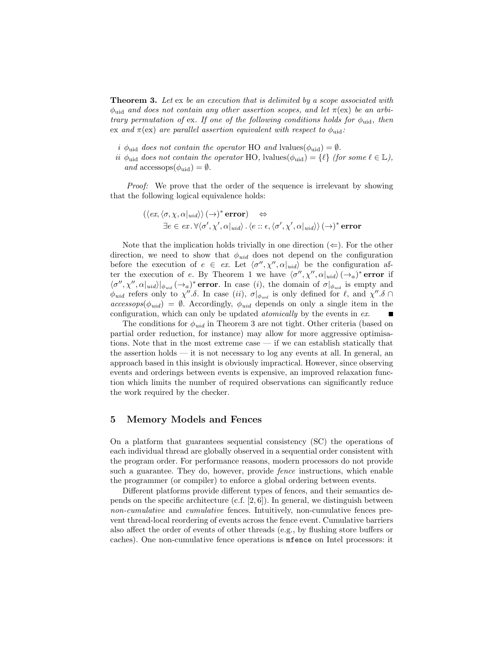**Theorem 3.** Let ex be an execution that is delimited by a scope associated with  $\phi_{\text{uid}}$  and does not contain any other assertion scopes, and let  $\pi(\text{ex})$  be an arbitrary permutation of ex. If one of the following conditions holds for  $\phi_{\text{uid}}$ , then ex and  $\pi$ (ex) are parallel assertion equivalent with respect to  $\phi_{\text{uid}}$ :

- i  $\phi_{\text{uid}}$  does not contain the operator HO and lvalues( $\phi_{\text{uid}}$ ) =  $\emptyset$ .
- ii  $\phi_{\text{uid}}$  does not contain the operator HO, lvalues( $\phi_{\text{uid}}$ ) = { $\ell$ } (for some  $\ell \in \mathbb{L}$ ), and accessops $(\phi_{\text{uid}}) = \emptyset$ .

Proof: We prove that the order of the sequence is irrelevant by showing that the following logical equivalence holds:

$$
(\langle ex, \langle \sigma, \chi, \alpha |_{uid} \rangle) (\rightarrow)^* \text{error}) \Leftrightarrow
$$
  

$$
\exists e \in ex. \forall \langle \sigma', \chi', \alpha |_{uid} \rangle. \langle e :: \epsilon, \langle \sigma', \chi', \alpha |_{uid} \rangle \rangle (\rightarrow)^* \text{error}
$$

Note that the implication holds trivially in one direction  $(\Leftarrow)$ . For the other direction, we need to show that  $\phi_{uid}$  does not depend on the configuration before the execution of  $e \in ex$ . Let  $\langle \sigma'', \chi'', \alpha |_{uid} \rangle$  be the configuration after the execution of e. By Theorem 1 we have  $\langle \sigma'', \chi'', \alpha|_{uid} \rangle (\rightarrow_a)^*$  error if  $\langle \sigma'', \chi'', \alpha |_{uid} \rangle |_{\phi_{uid}} (\rightarrow_a)^*$  error. In case (i), the domain of  $\sigma |_{\phi_{uid}}$  is empty and  $\phi_{uid}$  refers only to  $\chi''$ .δ. In case (ii),  $\sigma|_{\phi_{uid}}$  is only defined for  $\ell$ , and  $\chi''$ .δ  $accessops(\phi_{uid}) = \emptyset$ . Accordingly,  $\phi_{uid}$  depends on only a single item in the configuration, which can only be updated atomically by the events in ex. г

The conditions for  $\phi_{uid}$  in Theorem 3 are not tight. Other criteria (based on partial order reduction, for instance) may allow for more aggressive optimisations. Note that in the most extreme case — if we can establish statically that the assertion holds  $-$  it is not necessary to log any events at all. In general, an approach based in this insight is obviously impractical. However, since observing events and orderings between events is expensive, an improved relaxation function which limits the number of required observations can significantly reduce the work required by the checker.

### 5 Memory Models and Fences

On a platform that guarantees sequential consistency (SC) the operations of each individual thread are globally observed in a sequential order consistent with the program order. For performance reasons, modern processors do not provide such a guarantee. They do, however, provide fence instructions, which enable the programmer (or compiler) to enforce a global ordering between events.

Different platforms provide different types of fences, and their semantics depends on the specific architecture (c.f.  $[2, 6]$ ). In general, we distinguish between non-cumulative and cumulative fences. Intuitively, non-cumulative fences prevent thread-local reordering of events across the fence event. Cumulative barriers also affect the order of events of other threads (e.g., by flushing store buffers or caches). One non-cumulative fence operations is mfence on Intel processors: it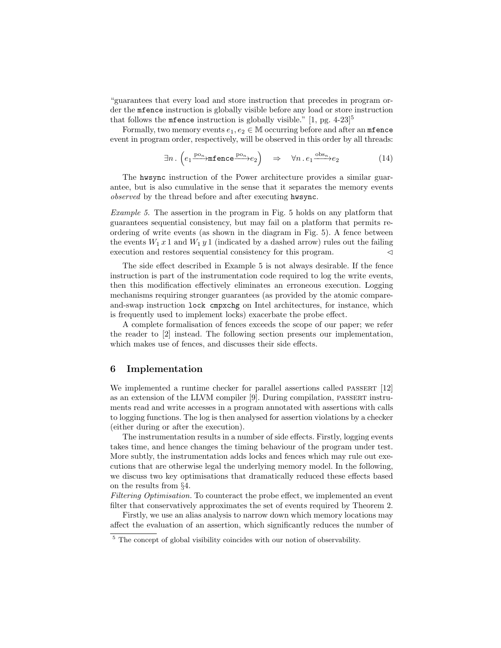"guarantees that every load and store instruction that precedes in program order the mfence instruction is globally visible before any load or store instruction that follows the **mfence** instruction is globally visible." [1, pg.  $4-23$ ]<sup>5</sup>

Formally, two memory events  $e_1, e_2 \in \mathbb{M}$  occurring before and after an mitence event in program order, respectively, will be observed in this order by all threads:

$$
\exists n. \left( e_1 \xrightarrow{\text{po}_n} \text{mfence} \xrightarrow{\text{po}_n} e_2 \right) \Rightarrow \forall n. e_1 \xrightarrow{\text{obs}_n} e_2 \tag{14}
$$

The hwsync instruction of the Power architecture provides a similar guarantee, but is also cumulative in the sense that it separates the memory events observed by the thread before and after executing hwsync.

Example 5. The assertion in the program in Fig. 5 holds on any platform that guarantees sequential consistency, but may fail on a platform that permits reordering of write events (as shown in the diagram in Fig. 5). A fence between the events  $W_1 x 1$  and  $W_1 y 1$  (indicated by a dashed arrow) rules out the failing execution and restores sequential consistency for this program.  $\triangleleft$ 

The side effect described in Example 5 is not always desirable. If the fence instruction is part of the instrumentation code required to log the write events, then this modification effectively eliminates an erroneous execution. Logging mechanisms requiring stronger guarantees (as provided by the atomic compareand-swap instruction lock cmpxchg on Intel architectures, for instance, which is frequently used to implement locks) exacerbate the probe effect.

A complete formalisation of fences exceeds the scope of our paper; we refer the reader to [2] instead. The following section presents our implementation, which makes use of fences, and discusses their side effects.

### 6 Implementation

We implemented a runtime checker for parallel assertions called PASSERT [12] as an extension of the LLVM compiler [9]. During compilation, passert instruments read and write accesses in a program annotated with assertions with calls to logging functions. The log is then analysed for assertion violations by a checker (either during or after the execution).

The instrumentation results in a number of side effects. Firstly, logging events takes time, and hence changes the timing behaviour of the program under test. More subtly, the instrumentation adds locks and fences which may rule out executions that are otherwise legal the underlying memory model. In the following, we discuss two key optimisations that dramatically reduced these effects based on the results from §4.

Filtering Optimisation. To counteract the probe effect, we implemented an event filter that conservatively approximates the set of events required by Theorem 2.

Firstly, we use an alias analysis to narrow down which memory locations may affect the evaluation of an assertion, which significantly reduces the number of

<sup>&</sup>lt;sup>5</sup> The concept of global visibility coincides with our notion of observability.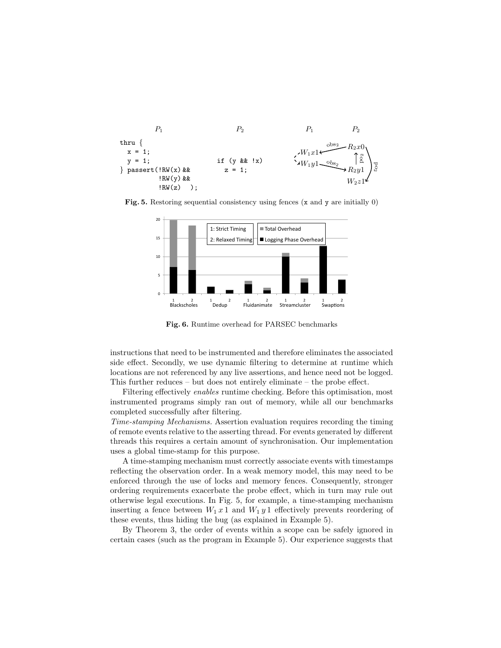

Fig. 5. Restoring sequential consistency using fences  $(x \text{ and } y \text{ are initially } 0)$ 



Fig. 6. Runtime overhead for PARSEC benchmarks

instructions that need to be instrumented and therefore eliminates the associated side effect. Secondly, we use dynamic filtering to determine at runtime which locations are not referenced by any live assertions, and hence need not be logged. This further reduces – but does not entirely eliminate – the probe effect.

Filtering effectively enables runtime checking. Before this optimisation, most instrumented programs simply ran out of memory, while all our benchmarks completed successfully after filtering.

Time-stamping Mechanisms. Assertion evaluation requires recording the timing of remote events relative to the asserting thread. For events generated by different threads this requires a certain amount of synchronisation. Our implementation uses a global time-stamp for this purpose.

A time-stamping mechanism must correctly associate events with timestamps reflecting the observation order. In a weak memory model, this may need to be enforced through the use of locks and memory fences. Consequently, stronger ordering requirements exacerbate the probe effect, which in turn may rule out otherwise legal executions. In Fig. 5, for example, a time-stamping mechanism inserting a fence between  $W_1 x 1$  and  $W_1 y 1$  effectively prevents reordering of these events, thus hiding the bug (as explained in Example 5).

By Theorem 3, the order of events within a scope can be safely ignored in certain cases (such as the program in Example 5). Our experience suggests that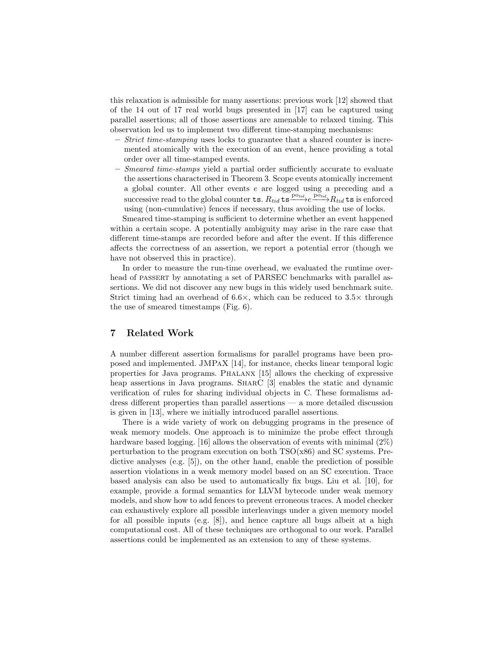this relaxation is admissible for many assertions: previous work [12] showed that of the 14 out of 17 real world bugs presented in  $|17|$  can be captured using parallel assertions; all of those assertions are amenable to relaxed timing. This observation led us to implement two different time-stamping mechanisms:

- Strict time-stamping uses locks to guarantee that a shared counter is incremented atomically with the execution of an event, hence providing a total order over all time-stamped events.
- Smeared time-stamps yield a partial order sufficiently accurate to evaluate the assertions characterised in Theorem 3. Scope events atomically increment a global counter. All other events e are logged using a preceding and a successive read to the global counter **ts**.  $R_{tid}$  **ts**  $\overset{\sim}{\longrightarrow}$  $\overset{\sim}{P}_{tid}$  **c** is enforced using (non-cumulative) fences if necessary, thus avoiding the use of locks.

Smeared time-stamping is sufficient to determine whether an event happened within a certain scope. A potentially ambiguity may arise in the rare case that different time-stamps are recorded before and after the event. If this difference affects the correctness of an assertion, we report a potential error (though we have not observed this in practice).

In order to measure the run-time overhead, we evaluated the runtime overhead of PASSERT by annotating a set of PARSEC benchmarks with parallel assertions. We did not discover any new bugs in this widely used benchmark suite. Strict timing had an overhead of  $6.6 \times$ , which can be reduced to  $3.5 \times$  through the use of smeared timestamps (Fig. 6).

# 7 Related Work

A number different assertion formalisms for parallel programs have been proposed and implemented. JMPaX [14], for instance, checks linear temporal logic properties for Java programs. Phalanx [15] allows the checking of expressive heap assertions in Java programs. SHARC [3] enables the static and dynamic verification of rules for sharing individual objects in C. These formalisms address different properties than parallel assertions — a more detailed discussion is given in [13], where we initially introduced parallel assertions.

There is a wide variety of work on debugging programs in the presence of weak memory models. One approach is to minimize the probe effect through hardware based logging. [16] allows the observation of events with minimal  $(2\%)$ perturbation to the program execution on both  $TSO(x86)$  and  $SC$  systems. Predictive analyses (e.g. [5]), on the other hand, enable the prediction of possible assertion violations in a weak memory model based on an SC execution. Trace based analysis can also be used to automatically fix bugs. Liu et al. [10], for example, provide a formal semantics for LLVM bytecode under weak memory models, and show how to add fences to prevent erroneous traces. A model checker can exhaustively explore all possible interleavings under a given memory model for all possible inputs (e.g.  $[8]$ ), and hence capture all bugs albeit at a high computational cost. All of these techniques are orthogonal to our work. Parallel assertions could be implemented as an extension to any of these systems.